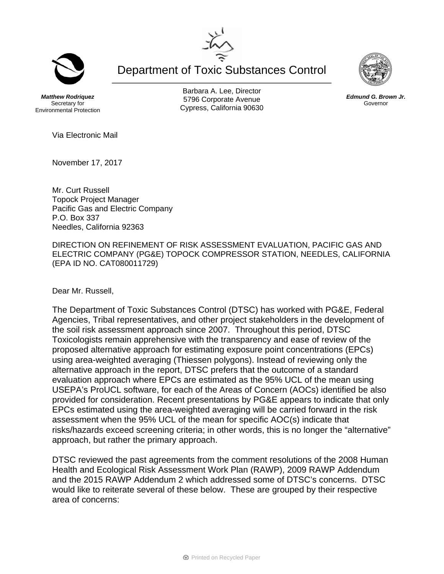Department of Toxic Substances Control

*Matthew Rodriquez*  Secretary for Environmental Protection

Barbara A. Lee, Director 5796 Corporate Avenue Cypress, California 90630

Via Electronic Mail

November 17, 2017

Mr. Curt Russell Topock Project Manager Pacific Gas and Electric Company P.O. Box 337 Needles, California 92363

DIRECTION ON REFINEMENT OF RISK ASSESSMENT EVALUATION, PACIFIC GAS AND ELECTRIC COMPANY (PG&E) TOPOCK COMPRESSOR STATION, NEEDLES, CALIFORNIA (EPA ID NO. CAT080011729)

Dear Mr. Russell,

The Department of Toxic Substances Control (DTSC) has worked with PG&E, Federal Agencies, Tribal representatives, and other project stakeholders in the development of the soil risk assessment approach since 2007. Throughout this period, DTSC Toxicologists remain apprehensive with the transparency and ease of review of the proposed alternative approach for estimating exposure point concentrations (EPCs) using area-weighted averaging (Thiessen polygons). Instead of reviewing only the alternative approach in the report, DTSC prefers that the outcome of a standard evaluation approach where EPCs are estimated as the 95% UCL of the mean using USEPA's ProUCL software, for each of the Areas of Concern (AOCs) identified be also provided for consideration. Recent presentations by PG&E appears to indicate that only EPCs estimated using the area-weighted averaging will be carried forward in the risk assessment when the 95% UCL of the mean for specific AOC(s) indicate that risks/hazards exceed screening criteria; in other words, this is no longer the "alternative" approach, but rather the primary approach.

DTSC reviewed the past agreements from the comment resolutions of the 2008 Human Health and Ecological Risk Assessment Work Plan (RAWP), 2009 RAWP Addendum and the 2015 RAWP Addendum 2 which addressed some of DTSC's concerns. DTSC would like to reiterate several of these below. These are grouped by their respective area of concerns:





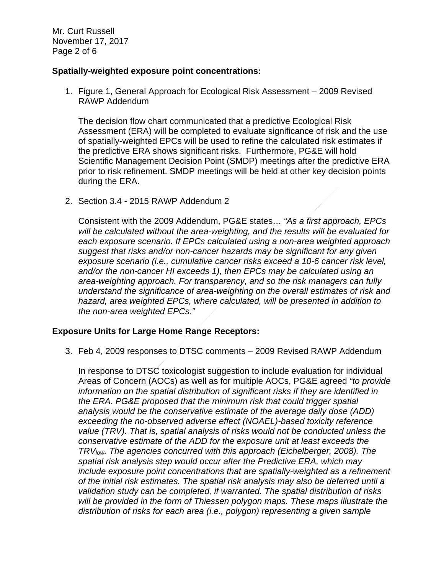Mr. Curt Russell November 17, 2017 Page 2 of 6

### **Spatially-weighted exposure point concentrations:**

1. Figure 1, General Approach for Ecological Risk Assessment – 2009 Revised RAWP Addendum

The decision flow chart communicated that a predictive Ecological Risk Assessment (ERA) will be completed to evaluate significance of risk and the use of spatially-weighted EPCs will be used to refine the calculated risk estimates if the predictive ERA shows significant risks. Furthermore, PG&E will hold Scientific Management Decision Point (SMDP) meetings after the predictive ERA prior to risk refinement. SMDP meetings will be held at other key decision points during the ERA.

2. Section 3.4 - 2015 RAWP Addendum 2

Consistent with the 2009 Addendum, PG&E states… *"As a first approach, EPCs will be calculated without the area-weighting, and the results will be evaluated for each exposure scenario. If EPCs calculated using a non-area weighted approach suggest that risks and/or non-cancer hazards may be significant for any given exposure scenario (i.e., cumulative cancer risks exceed a 10-6 cancer risk level, and/or the non-cancer HI exceeds 1), then EPCs may be calculated using an area-weighting approach. For transparency, and so the risk managers can fully understand the significance of area-weighting on the overall estimates of risk and hazard, area weighted EPCs, where calculated, will be presented in addition to the non-area weighted EPCs."*

# **Exposure Units for Large Home Range Receptors:**

3. Feb 4, 2009 responses to DTSC comments – 2009 Revised RAWP Addendum

In response to DTSC toxicologist suggestion to include evaluation for individual Areas of Concern (AOCs) as well as for multiple AOCs, PG&E agreed *"to provide information on the spatial distribution of significant risks if they are identified in the ERA. PG&E proposed that the minimum risk that could trigger spatial analysis would be the conservative estimate of the average daily dose (ADD) exceeding the no-observed adverse effect (NOAEL)-based toxicity reference value (TRV). That is, spatial analysis of risks would not be conducted unless the conservative estimate of the ADD for the exposure unit at least exceeds the TRVlow. The agencies concurred with this approach (Eichelberger, 2008). The spatial risk analysis step would occur after the Predictive ERA, which may include exposure point concentrations that are spatially-weighted as a refinement of the initial risk estimates. The spatial risk analysis may also be deferred until a validation study can be completed, if warranted. The spatial distribution of risks will be provided in the form of Thiessen polygon maps. These maps illustrate the distribution of risks for each area (i.e., polygon) representing a given sample*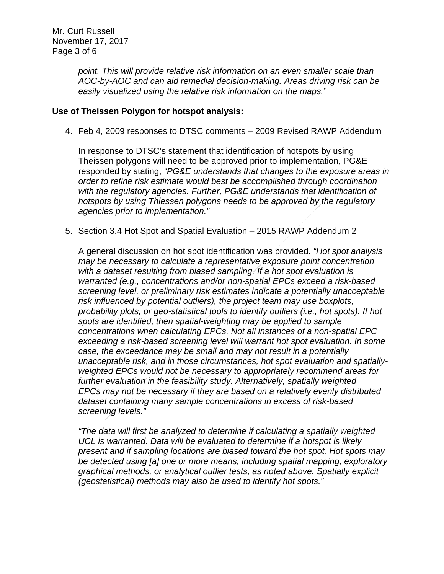*point. This will provide relative risk information on an even smaller scale than AOC-by-AOC and can aid remedial decision-making. Areas driving risk can be easily visualized using the relative risk information on the maps."* 

# **Use of Theissen Polygon for hotspot analysis:**

4. Feb 4, 2009 responses to DTSC comments – 2009 Revised RAWP Addendum

In response to DTSC's statement that identification of hotspots by using Theissen polygons will need to be approved prior to implementation, PG&E responded by stating, *"PG&E understands that changes to the exposure areas in order to refine risk estimate would best be accomplished through coordination with the regulatory agencies. Further, PG&E understands that identification of hotspots by using Thiessen polygons needs to be approved by the regulatory agencies prior to implementation."*

5. Section 3.4 Hot Spot and Spatial Evaluation – 2015 RAWP Addendum 2

A general discussion on hot spot identification was provided. *"Hot spot analysis may be necessary to calculate a representative exposure point concentration with a dataset resulting from biased sampling. If a hot spot evaluation is warranted (e.g., concentrations and/or non-spatial EPCs exceed a risk-based screening level, or preliminary risk estimates indicate a potentially unacceptable risk influenced by potential outliers), the project team may use boxplots, probability plots, or geo-statistical tools to identify outliers (i.e., hot spots). If hot spots are identified, then spatial-weighting may be applied to sample concentrations when calculating EPCs. Not all instances of a non-spatial EPC exceeding a risk-based screening level will warrant hot spot evaluation. In some case, the exceedance may be small and may not result in a potentially unacceptable risk, and in those circumstances, hot spot evaluation and spatiallyweighted EPCs would not be necessary to appropriately recommend areas for further evaluation in the feasibility study. Alternatively, spatially weighted EPCs may not be necessary if they are based on a relatively evenly distributed dataset containing many sample concentrations in excess of risk-based screening levels."* 

*"The data will first be analyzed to determine if calculating a spatially weighted UCL is warranted. Data will be evaluated to determine if a hotspot is likely present and if sampling locations are biased toward the hot spot. Hot spots may be detected using [a] one or more means, including spatial mapping, exploratory graphical methods, or analytical outlier tests, as noted above. Spatially explicit (geostatistical) methods may also be used to identify hot spots."*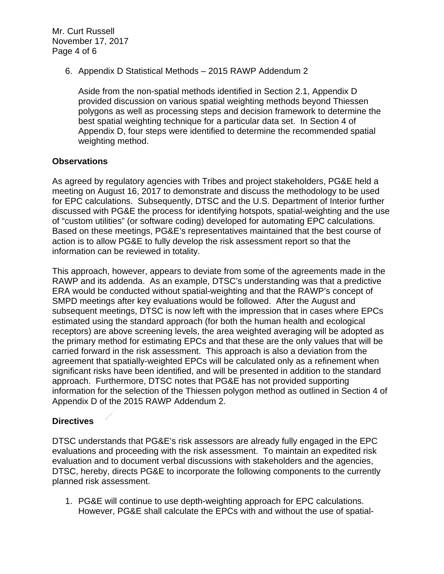Mr. Curt Russell November 17, 2017 Page 4 of 6

6. Appendix D Statistical Methods – 2015 RAWP Addendum 2

Aside from the non-spatial methods identified in Section 2.1, Appendix D provided discussion on various spatial weighting methods beyond Thiessen polygons as well as processing steps and decision framework to determine the best spatial weighting technique for a particular data set. In Section 4 of Appendix D, four steps were identified to determine the recommended spatial weighting method.

### **Observations**

As agreed by regulatory agencies with Tribes and project stakeholders, PG&E held a meeting on August 16, 2017 to demonstrate and discuss the methodology to be used for EPC calculations. Subsequently, DTSC and the U.S. Department of Interior further discussed with PG&E the process for identifying hotspots, spatial-weighting and the use of "custom utilities" (or software coding) developed for automating EPC calculations. Based on these meetings, PG&E's representatives maintained that the best course of action is to allow PG&E to fully develop the risk assessment report so that the information can be reviewed in totality.

This approach, however, appears to deviate from some of the agreements made in the RAWP and its addenda. As an example, DTSC's understanding was that a predictive ERA would be conducted without spatial-weighting and that the RAWP's concept of SMPD meetings after key evaluations would be followed. After the August and subsequent meetings, DTSC is now left with the impression that in cases where EPCs estimated using the standard approach (for both the human health and ecological receptors) are above screening levels, the area weighted averaging will be adopted as the primary method for estimating EPCs and that these are the only values that will be carried forward in the risk assessment. This approach is also a deviation from the agreement that spatially-weighted EPCs will be calculated only as a refinement when significant risks have been identified, and will be presented in addition to the standard approach. Furthermore, DTSC notes that PG&E has not provided supporting information for the selection of the Thiessen polygon method as outlined in Section 4 of Appendix D of the 2015 RAWP Addendum 2.

# **Directives**

DTSC understands that PG&E's risk assessors are already fully engaged in the EPC evaluations and proceeding with the risk assessment. To maintain an expedited risk evaluation and to document verbal discussions with stakeholders and the agencies, DTSC, hereby, directs PG&E to incorporate the following components to the currently planned risk assessment.

1. PG&E will continue to use depth-weighting approach for EPC calculations. However, PG&E shall calculate the EPCs with and without the use of spatial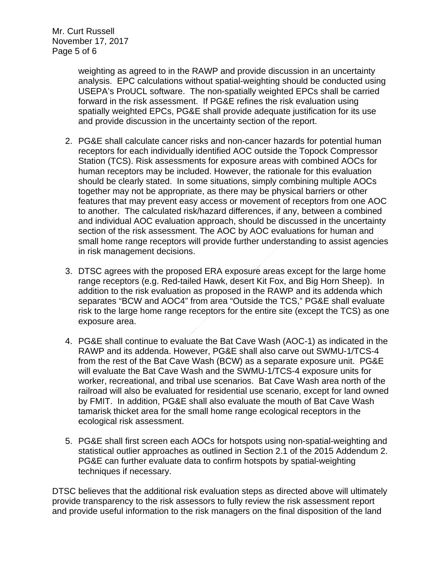Mr. Curt Russell November 17, 2017 Page 5 of 6

> weighting as agreed to in the RAWP and provide discussion in an uncertainty analysis. EPC calculations without spatial-weighting should be conducted using USEPA's ProUCL software. The non-spatially weighted EPCs shall be carried forward in the risk assessment. If PG&E refines the risk evaluation using spatially weighted EPCs, PG&E shall provide adequate justification for its use and provide discussion in the uncertainty section of the report.

- 2. PG&E shall calculate cancer risks and non-cancer hazards for potential human receptors for each individually identified AOC outside the Topock Compressor Station (TCS). Risk assessments for exposure areas with combined AOCs for human receptors may be included. However, the rationale for this evaluation should be clearly stated. In some situations, simply combining multiple AOCs together may not be appropriate, as there may be physical barriers or other features that may prevent easy access or movement of receptors from one AOC to another. The calculated risk/hazard differences, if any, between a combined and individual AOC evaluation approach, should be discussed in the uncertainty section of the risk assessment. The AOC by AOC evaluations for human and small home range receptors will provide further understanding to assist agencies in risk management decisions.
- 3. DTSC agrees with the proposed ERA exposure areas except for the large home range receptors (e.g. Red-tailed Hawk, desert Kit Fox, and Big Horn Sheep). In addition to the risk evaluation as proposed in the RAWP and its addenda which separates "BCW and AOC4" from area "Outside the TCS," PG&E shall evaluate risk to the large home range receptors for the entire site (except the TCS) as one exposure area.
- 4. PG&E shall continue to evaluate the Bat Cave Wash (AOC-1) as indicated in the RAWP and its addenda. However, PG&E shall also carve out SWMU-1/TCS-4 from the rest of the Bat Cave Wash (BCW) as a separate exposure unit. PG&E will evaluate the Bat Cave Wash and the SWMU-1/TCS-4 exposure units for worker, recreational, and tribal use scenarios. Bat Cave Wash area north of the railroad will also be evaluated for residential use scenario, except for land owned by FMIT. In addition, PG&E shall also evaluate the mouth of Bat Cave Wash tamarisk thicket area for the small home range ecological receptors in the ecological risk assessment.
- 5. PG&E shall first screen each AOCs for hotspots using non-spatial-weighting and statistical outlier approaches as outlined in Section 2.1 of the 2015 Addendum 2. PG&E can further evaluate data to confirm hotspots by spatial-weighting techniques if necessary.

DTSC believes that the additional risk evaluation steps as directed above will ultimately provide transparency to the risk assessors to fully review the risk assessment report and provide useful information to the risk managers on the final disposition of the land